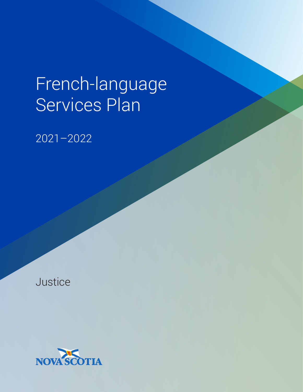# French-language Services Plan

2021–2022

Justice

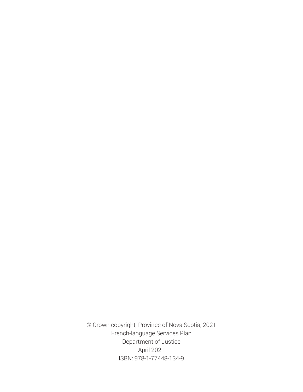© Crown copyright, Province of Nova Scotia, 2021 French-language Services Plan Department of Justice April 2021 ISBN: 978-1-77448-134-9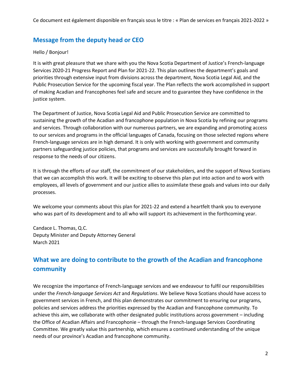# **Message from the deputy head or CEO**

# Hello / Bonjour!

It is with great pleasure that we share with you the Nova Scotia Department of Justice's French-language Services 2020-21 Progress Report and Plan for 2021-22. This plan outlines the department's goals and priorities through extensive input from divisions across the department, Nova Scotia Legal Aid, and the Public Prosecution Service for the upcoming fiscal year. The Plan reflects the work accomplished in support of making Acadian and Francophones feel safe and secure and to guarantee they have confidence in the justice system.

The Department of Justice, Nova Scotia Legal Aid and Public Prosecution Service are committed to sustaining the growth of the Acadian and francophone population in Nova Scotia by refining our programs and services. Through collaboration with our numerous partners, we are expanding and promoting access to our services and programs in the official languages of Canada, focusing on those selected regions where French-language services are in high demand. It is only with working with government and community partners safeguarding justice policies, that programs and services are successfully brought forward in response to the needs of our citizens.

It is through the efforts of our staff, the commitment of our stakeholders, and the support of Nova Scotians that we can accomplish this work. It will be exciting to observe this plan put into action and to work with employees, all levels of government and our justice allies to assimilate these goals and values into our daily processes.

We welcome your comments about this plan for 2021-22 and extend a heartfelt thank you to everyone who was part of its development and to all who will support its achievement in the forthcoming year.

Candace L. Thomas, Q.C. Deputy Minister and Deputy Attorney General March 2021

# **What we are doing to contribute to the growth of the Acadian and francophone community**

We recognize the importance of French-language services and we endeavour to fulfil our responsibilities under the *French-language Services Act* and *Regulations*. We believe Nova Scotians should have access to government services in French, and this plan demonstrates our commitment to ensuring our programs, policies and services address the priorities expressed by the Acadian and francophone community. To achieve this aim, we collaborate with other designated public institutions across government – including the Office of Acadian Affairs and Francophonie – through the French-language Services Coordinating Committee. We greatly value this partnership, which ensures a continued understanding of the unique needs of our province's Acadian and francophone community.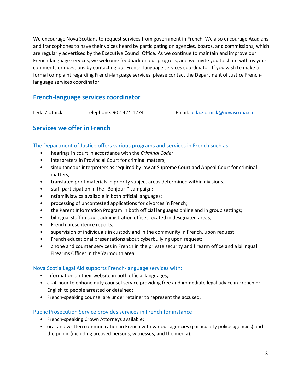We encourage Nova Scotians to request services from government in French. We also encourage Acadians and francophones to have their voices heard by participating on agencies, boards, and commissions, which are regularly advertised by the Executive Council Office. As we continue to maintain and improve our French-language services, we welcome feedback on our progress, and we invite you to share with us your comments or questions by contacting our French-language services coordinator. If you wish to make a formal complaint regarding French-language services, please contact the Department of Justice Frenchlanguage services coordinator.

# **French-language services coordinator**

Leda Zlotnick Telephone: 902-424-1274 Email: [leda.zlotnick@novascotia.ca](mailto:leda.zlotnick@novascotia.ca)

# **Services we offer in French**

The Department of Justice offers various programs and services in French such as:

- hearings in court in accordance with the *Criminal Code;*
- interpreters in Provincial Court for criminal matters;
- simultaneous interpreters as required by law at Supreme Court and Appeal Court for criminal matters;
- translated print materials in priority subject areas determined within divisions.
- staff participation in the "Bonjour!" campaign;
- nsfamilylaw.ca available in both official languages;
- processing of uncontested applications for divorces in French;
- the Parent Information Program in both official languages online and in group settings;
- bilingual staff in court administration offices located in designated areas;
- French presentence reports;
- supervision of individuals in custody and in the community in French, upon request;
- French educational presentations about cyberbullying upon request;
- phone and counter services in French in the private security and firearm office and a bilingual Firearms Officer in the Yarmouth area.

## Nova Scotia Legal Aid supports French-language services with:

- information on their website in both official languages;
- a 24-hour telephone duty counsel service providing free and immediate legal advice in French or English to people arrested or detained;
- French-speaking counsel are under retainer to represent the accused.

## Public Prosecution Service provides services in French for instance:

- French-speaking Crown Attorneys available;
- oral and written communication in French with various agencies (particularly police agencies) and the public (including accused persons, witnesses, and the media).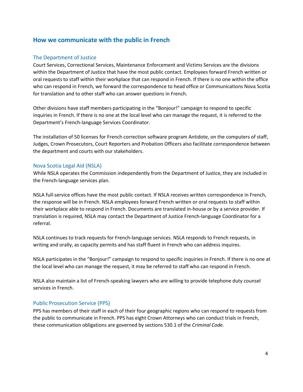# **How we communicate with the public in French**

## The Department of Justice

Court Services, Correctional Services, Maintenance Enforcement and Victims Services are the divisions within the Department of Justice that have the most public contact. Employees forward French written or oral requests to staff within their workplace that can respond in French. If there is no one within the office who can respond in French, we forward the correspondence to head office or Communications Nova Scotia for translation and to other staff who can answer questions in French.

Other divisions have staff members participating in the "Bonjour!" campaign to respond to specific inquiries in French. If there is no one at the local level who can manage the request, it is referred to the Department's French-language Services Coordinator.

The installation of 50 licenses for French correction software program Antidote, on the computers of staff, Judges, Crown Prosecutors, Court Reporters and Probation Officers also facilitate correspondence between the department and courts with our stakeholders.

#### Nova Scotia Legal Aid (NSLA)

While NSLA operates the Commission independently from the Department of Justice, they are included in the French-language services plan.

NSLA full-service offices have the most public contact. If NSLA receives written correspondence in French, the response will be in French. NSLA employees forward French written or oral requests to staff within their workplace able to respond in French. Documents are translated in-house or by a service provider. If translation is required, NSLA may contact the Department of Justice French-language Coordinator for a referral.

NSLA continues to track requests for French-language services. NSLA responds to French requests, in writing and orally, as capacity permits and has staff fluent in French who can address inquires.

NSLA participates in the "Bonjour!" campaign to respond to specific inquiries in French. If there is no one at the local level who can manage the request, it may be referred to staff who can respond in French.

NSLA also maintain a list of French-speaking lawyers who are willing to provide telephone duty counsel services in French.

## Public Prosecution Service (PPS)

PPS has members of their staff in each of their four geographic regions who can respond to requests from the public to communicate in French. PPS has eight Crown Attorneys who can conduct trials in French, these communication obligations are governed by sections 530.1 of the *Criminal Code*.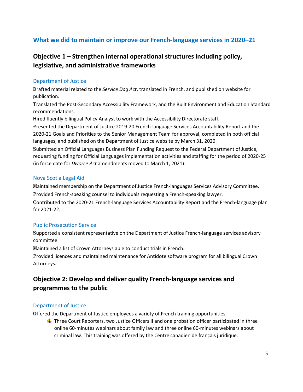# **What we did to maintain or improve our French-language services in 2020–21**

# **Objective 1 – Strengthen internal operational structures including policy, legislative, and administrative frameworks**

## Department of Justice

Drafted material related to the *Service Dog Act*, translated in French, and published on website for publication.

Translated the Post-Secondary Accessibility Framework, and the Built Environment and Education Standard recommendations.

**H**ired fluently bilingual Policy Analyst to work with the Accessibility Directorate staff.

Presented the Department of Justice 2019-20 French-language Services Accountability Report and the 2020-21 Goals and Priorities to the Senior Management Team for approval, completed in both official languages, and published on the Department of Justice website by March 31, 2020.

Submitted an Official Languages Business Plan Funding Request to the Federal Department of Justice, requesting funding for Official Languages implementation activities and staffing for the period of 2020-25 (in force date for *Divorce Act* amendments moved to March 1, 2021).

## Nova Scotia Legal Aid

Maintained membership on the Department of Justice French-languages Services Advisory Committee. provided French-speaking counsel to individuals requesting a French-speaking lawyer.

Contributed to the 2020-21 French-language Services Accountability Report and the French-language plan for 2021-22.

# Public Prosecution Service

Supported a consistent representative on the Department of Justice French-language services advisory committee.

Maintained a list of Crown Attorneys able to conduct trials in French.

Provided licences and maintained maintenance for Antidote software program for all bilingual Crown Attorneys.

# **Objective 2: Develop and deliver quality French-language services and programmes to the public**

## Department of Justice

Offered the Department of Justice employees a variety of French training opportunities.

 $\ddot{\phantom{1}}$  Three Court Reporters, two Justice Officers II and one probation officer participated in three online 60-minutes webinars about family law and three online 60-minutes webinars about criminal law. This training was offered by the Centre canadien de français juridique.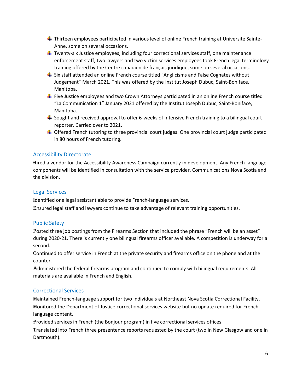- $\ddot{\phantom{1}}$  Thirteen employees participated in various level of online French training at Université Sainte-Anne, some on several occasions.
- $\ddot{\phantom{1}}$  Twenty-six Justice employees, including four correctional services staff, one maintenance enforcement staff, two lawyers and two victim services employees took French legal terminology training offered by the Centre canadien de français juridique, some on several occasions.
- $\ddot{\phantom{1}}$  Six staff attended an online French course titled "Anglicisms and False Cognates without Judgement" March 2021. This was offered by the Institut Joseph Dubuc, Saint-Boniface, Manitoba.
- $\ddot{\phantom{1}}$  Five Justice employees and two Crown Attorneys participated in an online French course titled "La Communication 1" January 2021 offered by the Institut Joseph Dubuc, Saint-Boniface, Manitoba.
- $\ddot{\phantom{1}}$  Sought and received approval to offer 6-weeks of Intensive French training to a bilingual court reporter. Carried over to 2021.
- **↓** Offered French tutoring to three provincial court judges. One provincial court judge participated in 80 hours of French tutoring.

# Accessibility Directorate

Hired a vendor for the Accessibility Awareness Campaign currently in development. Any French-language components will be identified in consultation with the service provider, Communications Nova Scotia and the division.

## Legal Services

Identified one legal assistant able to provide French-language services.

Ensured legal staff and lawyers continue to take advantage of relevant training opportunities.

# Public Safety

Posted three job postings from the Firearms Section that included the phrase "French will be an asset" during 2020-21. There is currently one bilingual firearms officer available. A competition is underway for a second.

Continued to offer service in French at the private security and firearms office on the phone and at the counter.

Administered the federal firearms program and continued to comply with bilingual requirements. All materials are available in French and English.

## Correctional Services

Maintained French-language support for two individuals at Northeast Nova Scotia Correctional Facility. Monitored the Department of Justice correctional services website but no update required for Frenchlanguage content.

Provided services in French (the Bonjour program) in five correctional services offices.

Translated into French three presentence reports requested by the court (two in New Glasgow and one in Dartmouth).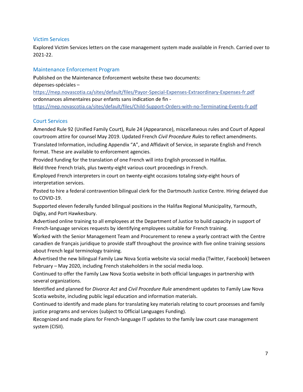# Victim Services

Explored Victim Services letters on the case management system made available in French. Carried over to 2021-22.

# Maintenance Enforcement Program

Published on the Maintenance Enforcement website these two documents: dépenses-spéciales – <https://mep.novascotia.ca/sites/default/files/Payor-Special-Expenses-Extraordinary-Expenses-fr.pdf> ordonnances alimentaires pour enfants sans indication de fin -

<https://mep.novascotia.ca/sites/default/files/Child-Support-Orders-with-no-Terminating-Events-fr.pdf>

## Court Services

Amended Rule 92 (Unified Family Court), Rule 24 (Appearance), miscellaneous rules and Court of Appeal courtroom attire for counsel May 2019. Updated French *Civil Procedure Rules* to reflect amendments. Translated Information, including Appendix "A", and Affidavit of Service, in separate English and French format. These are available to enforcement agencies.

Provided funding for the translation of one French will into English processed in Halifax.

Held three French trials, plus twenty-eight various court proceedings in French.

Employed French interpreters in court on twenty-eight occasions totaling sixty-eight hours of interpretation services.

Posted to hire a federal contravention bilingual clerk for the Dartmouth Justice Centre. Hiring delayed due to COVID-19.

Supported eleven federally funded bilingual positions in the Halifax Regional Municipality, Yarmouth, Digby, and Port Hawkesbury.

Advertised online training to all employees at the Department of Justice to build capacity in support of French-language services requests by identifying employees suitable for French training.

Worked with the Senior Management Team and Procurement to renew a yearly contract with the Centre canadien de français juridique to provide staff throughout the province with five online training sessions about French legal terminology training.

Advertised the new bilingual Family Law Nova Scotia website via social media (Twitter, Facebook) between February – May 2020, including French stakeholders in the social media loop.

continued to offer the Family Law Nova Scotia website in both official languages in partnership with several organizations.

Identified and planned for *Divorce Act* and *Civil Procedure Rule* amendment updates to Family Law Nova Scotia website, including public legal education and information materials.

Continued to identify and made plans for translating key materials relating to court processes and family justice programs and services (subject to Official Languages Funding).

Recognized and made plans for French-language IT updates to the family law court case management system (CISII).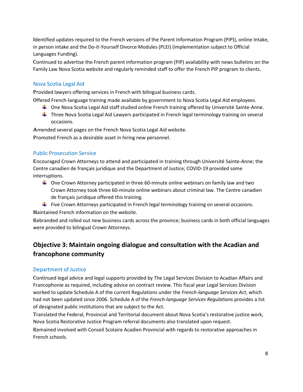Identified updates required to the French versions of the Parent Information Program (PIP)), online Intake, in person intake and the Do-it-Yourself Divorce Modules (PLEI) (implementation subject to Official Languages Funding).

Continued to advertise the French parent information program (PIP) availability with news bulletins on the Family Law Nova Scotia website and regularly reminded staff to offer the French PIP program to clients.

# Nova Scotia Legal Aid

provided lawyers offering services in French with bilingual business cards.

offered French-language training made available by government to Nova Scotia Legal Aid employees.

- ↓ One Nova Scotia Legal Aid staff studied online French training offered by Université Sainte-Anne.
- Three Nova Scotia Legal Aid Lawyers participated in French legal terminology training on several occasions.

Amended several pages on the French Nova Scotia Legal Aid website.

promoted French as a desirable asset in hiring new personnel.

# Public Prosecution Service

Encouraged Crown Attorneys to attend and participated in training through Université Sainte-Anne; the Centre canadien de français juridique and the Department of Justice; COVID-19 provided some interruptions.

- $\downarrow$  One Crown Attorney participated in three 60-minute online webinars on family law and two Crown Attorney took three 60-minute online webinars about criminal law. The Centre canadien de français juridique offered this training.
- $\ddot{\phantom{1}}$  Five Crown Attorneys participated in French legal terminology training on several occasions.

Maintained French information on the website.

Rebranded and rolled out new business cards across the province; business cards in both official languages were provided to bilingual Crown Attorneys.

# **Objective 3: Maintain ongoing dialogue and consultation with the Acadian and francophone community**

# Department of Justice

continued legal advice and legal supports provided by The Legal Services Division to Acadian Affairs and Francophonie as required, including advice on contract review. This fiscal year Legal Services Division worked to update Schedule A of the current Regulations under the *French-language Services Act*, which had not been updated since 2006. Schedule A of the *French-language Services Regulations* provides a list of designated public institutions that are subject to the Act.

translated the Federal, Provincial and Territorial document about Nova Scotia's restorative justice work, Nova Scotia Restorative Justice Program referral documents also translated upon request.

Remained involved with Conseil Scolaire Acadien Provincial with regards to restorative approaches in French schools.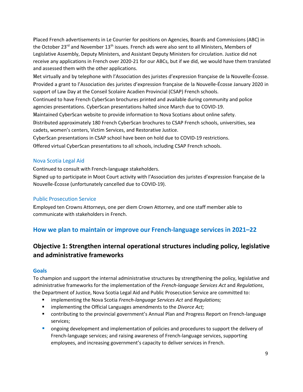Placed French advertisements in Le Courrier for positions on Agencies, Boards and Commissions (ABC) in the October 23<sup>rd</sup> and November 13<sup>th</sup> issues. French ads were also sent to all Ministers, Members of Legislative Assembly, Deputy Ministers, and Assistant Deputy Ministers for circulation. Justice did not receive any applications in French over 2020-21 for our ABCs, but if we did, we would have them translated and assessed them with the other applications.

met virtually and by telephone with l'Association des juristes d'expression française de la Nouvelle-Écosse. Provided a grant to l'Association des juristes d'expression française de la Nouvelle-Écosse January 2020 in support of Law Day at the Conseil Scolaire Acadien Provincial (CSAP) French schools.

continued to have French CyberScan brochures printed and available during community and police agencies presentations. CyberScan presentations halted since March due to COVID-19.

maintained CyberScan website to provide information to Nova Scotians about online safety.

Distributed approximately 180 French CyberScan brochures to CSAP French schools, universities, sea cadets, women's centers, Victim Services, and Restorative Justice.

CyberScan presentations in CSAP school have been on hold due to COVID-19 restrictions.

offered virtual CyberScan presentations to all schools, including CSAP French schools.

# Nova Scotia Legal Aid

continued to consult with French-language stakeholders.

signed up to participate in Moot Court activity with l'Association des juristes d'expression française de la Nouvelle-Écosse (unfortunately cancelled due to COVID-19).

# Public Prosecution Service

Employed ten Crowns Attorneys, one per diem Crown Attorney, and one staff member able to communicate with stakeholders in French.

# **How we plan to maintain or improve our French-language services in 2021–22**

# **Objective 1: Strengthen internal operational structures including policy, legislative and administrative frameworks**

# **Goals**

To champion and support the internal administrative structures by strengthening the policy, legislative and administrative frameworks for the implementation of the *French-language Services Act* and *Regulations*, the Department of Justice, Nova Scotia Legal Aid and Public Prosecution Service are committed to:

- implementing the Nova Scotia *French-language Services Act* and *Regulations;*
- implementing the Official Languages amendments to the *Divorce Act*;
- contributing to the provincial government's Annual Plan and Progress Report on French-language services;
- **•** ongoing development and implementation of policies and procedures to support the delivery of French-language services; and raising awareness of French-language services, supporting employees, and increasing government's capacity to deliver services in French.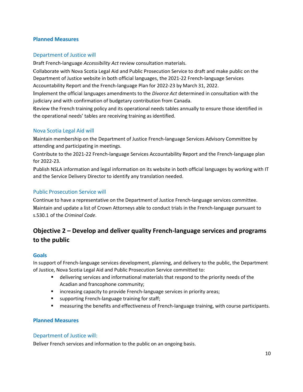#### **Planned Measures**

## Department of Justice will

Draft French-language *Accessibility Act* review consultation materials.

Collaborate with Nova Scotia Legal Aid and Public Prosecution Service to draft and make public on the Department of Justice website in both official languages, the 2021-22 French-language Services Accountability Report and the French-language Plan for 2022-23 by March 31, 2022.

Implement the official languages amendments to the *Divorce Act* determined in consultation with the judiciary and with confirmation of budgetary contribution from Canada.

Review the French training policy and its operational needs tables annually to ensure those identified in the operational needs' tables are receiving training as identified.

#### Nova Scotia Legal Aid will

Maintain membership on the Department of Justice French-language Services Advisory Committee by attending and participating in meetings.

Contribute to the 2021-22 French-language Services Accountability Report and the French-language plan for 2022-23.

Publish NSLA information and legal information on its website in both official languages by working with IT and the Service Delivery Director to identify any translation needed.

#### Public Prosecution Service will

continue to have a representative on the Department of Justice French-language services committee. maintain and update a list of Crown Attorneys able to conduct trials in the French-language pursuant to s.530.1 of the *Criminal Code*.

# **Objective 2 – Develop and deliver quality French-language services and programs to the public**

#### **Goals**

In support of French-language services development, planning, and delivery to the public, the Department of Justice, Nova Scotia Legal Aid and Public Prosecution Service committed to:

- delivering services and informational materials that respond to the priority needs of the Acadian and francophone community;
- increasing capacity to provide French-language services in priority areas;
- supporting French-language training for staff;
- measuring the benefits and effectiveness of French-language training, with course participants.

#### **Planned Measures**

#### Department of Justice will:

Deliver French services and information to the public on an ongoing basis.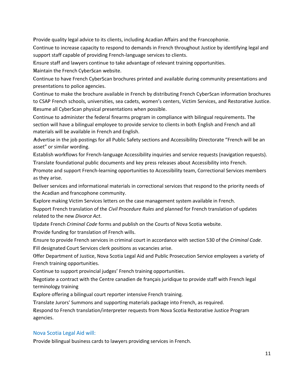provide quality legal advice to its clients, including Acadian Affairs and the Francophonie.

continue to increase capacity to respond to demands in French throughout Justice by identifying legal and support staff capable of providing French-language services to clients.

Ensure staff and lawyers continue to take advantage of relevant training opportunities.

Maintain the French CyberScan website.

continue to have French CyberScan brochures printed and available during community presentations and presentations to police agencies.

continue to make the brochure available in French by distributing French CyberScan information brochures to CSAP French schools, universities, sea cadets, women's centers, Victim Services, and Restorative Justice. Resume all CyberScan physical presentations when possible.

continue to administer the federal firearms program in compliance with bilingual requirements. The section will have a bilingual employee to provide service to clients in both English and French and all materials will be available in French and English.

Advertise in the job postings for all Public Safety sections and Accessibility Directorate "French will be an asset" or similar wording.

establish workflows for French-language Accessibility inquiries and service requests (navigation requests). translate foundational public documents and key press releases about Accessibility into French.

Promote and support French-learning opportunities to Accessibility team, Correctional Services members as they arise.

Deliver services and informational materials in correctional services that respond to the priority needs of the Acadian and francophone community.

Explore making Victim Services letters on the case management system available in French.

support French translation of the *Civil Procedure Rules* and planned for French translation of updates related to the new *Divorce Act*.

update French *Criminal Code* forms and publish on the Courts of Nova Scotia website.

provide funding for translation of French wills.

ensure to provide French services in criminal court in accordance with section 530 of the *Criminal Code*. Fill designated Court Services clerk positions as vacancies arise.

offer Department of Justice, Nova Scotia Legal Aid and Public Prosecution Service employees a variety of French training opportunities.

continue to support provincial judges' French training opportunities.

Negotiate a contract with the Centre canadien de français juridique to provide staff with French legal terminology training

Explore offering a bilingual court reporter intensive French training.

translate Jurors' Summons and supporting materials package into French, as required.

Respond to French translation/interpreter requests from Nova Scotia Restorative Justice Program agencies.

# Nova Scotia Legal Aid will:

Provide bilingual business cards to lawyers providing services in French.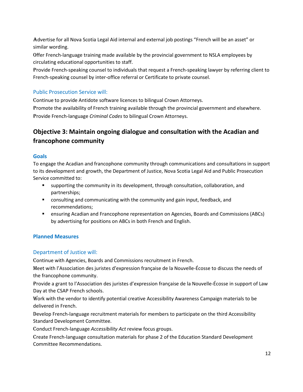advertise for all Nova Scotia Legal Aid internal and external job postings "French will be an asset" or similar wording.

Offer French-language training made available by the provincial government to NSLA employees by circulating educational opportunities to staff.

Provide French-speaking counsel to individuals that request a French-speaking lawyer by referring client to French-speaking counsel by inter-office referral or Certificate to private counsel.

## Public Prosecution Service will:

continue to provide Antidote software licences to bilingual Crown Attorneys.

promote the availability of French training available through the provincial government and elsewhere. provide French-language *Criminal Codes* to bilingual Crown Attorneys.

# **Objective 3: Maintain ongoing dialogue and consultation with the Acadian and francophone community**

#### **Goals**

To engage the Acadian and francophone community through communications and consultations in support to its development and growth, the Department of Justice, Nova Scotia Legal Aid and Public Prosecution Service committed to:

- supporting the community in its development, through consultation, collaboration, and partnerships;
- consulting and communicating with the community and gain input, feedback, and recommendations;
- ensuring Acadian and Francophone representation on Agencies, Boards and Commissions (ABCs) by advertising for positions on ABCs in both French and English.

## **Planned Measures**

## Department of Justice will:

continue with Agencies, Boards and Commissions recruitment in French.

meet with l'Association des juristes d'expression française de la Nouvelle-Écosse to discuss the needs of the francophone community.

provide a grant to l'Association des juristes d'expression française de la Nouvelle-Écosse in support of Law Day at the CSAP French schools.

Work with the vendor to identify potential creative Accessibility Awareness Campaign materials to be delivered in French.

Develop French-language recruitment materials for members to participate on the third Accessibility Standard Development Committee.

Conduct French-language *Accessibility Act* review focus groups.

Create French-language consultation materials for phase 2 of the Education Standard Development Committee Recommendations.